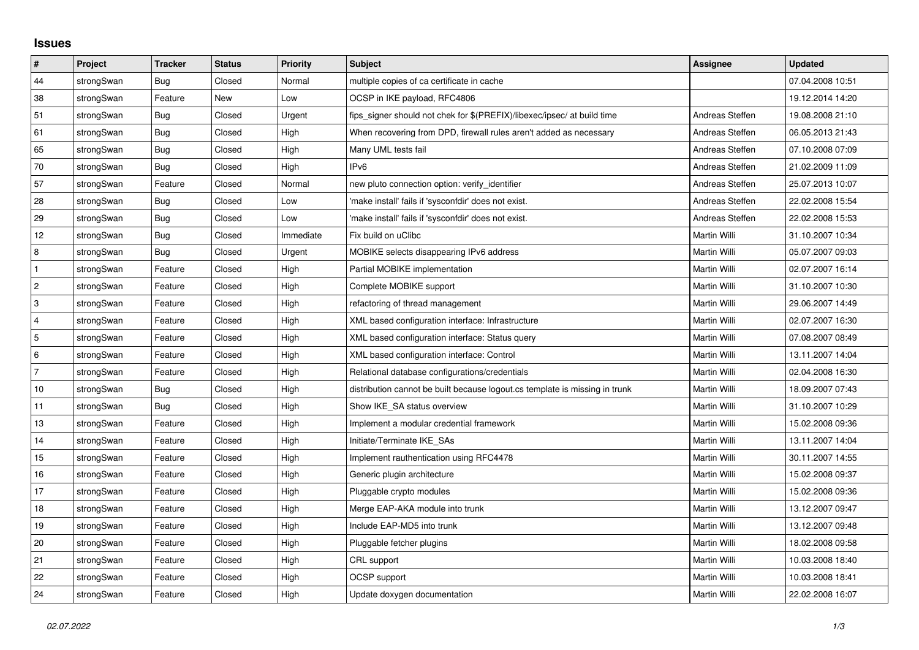## **Issues**

| $\vert$ #      | Project    | <b>Tracker</b> | <b>Status</b> | <b>Priority</b> | <b>Subject</b>                                                              | <b>Assignee</b>     | <b>Updated</b>   |
|----------------|------------|----------------|---------------|-----------------|-----------------------------------------------------------------------------|---------------------|------------------|
| 44             | strongSwan | Bug            | Closed        | Normal          | multiple copies of ca certificate in cache                                  |                     | 07.04.2008 10:51 |
| 38             | strongSwan | Feature        | New           | Low             | OCSP in IKE payload, RFC4806                                                |                     | 19.12.2014 14:20 |
| 51             | strongSwan | Bug            | Closed        | Urgent          | fips_signer should not chek for \$(PREFIX)/libexec/ipsec/ at build time     | Andreas Steffen     | 19.08.2008 21:10 |
| 61             | strongSwan | Bug            | Closed        | High            | When recovering from DPD, firewall rules aren't added as necessary          | Andreas Steffen     | 06.05.2013 21:43 |
| 65             | strongSwan | Bug            | Closed        | High            | Many UML tests fail                                                         | Andreas Steffen     | 07.10.2008 07:09 |
| 70             | strongSwan | Bug            | Closed        | High            | IP <sub>v6</sub>                                                            | Andreas Steffen     | 21.02.2009 11:09 |
| 57             | strongSwan | Feature        | Closed        | Normal          | new pluto connection option: verify identifier                              | Andreas Steffen     | 25.07.2013 10:07 |
| 28             | strongSwan | Bug            | Closed        | Low             | 'make install' fails if 'sysconfdir' does not exist.                        | Andreas Steffen     | 22.02.2008 15:54 |
| 29             | strongSwan | Bug            | Closed        | Low             | 'make install' fails if 'sysconfdir' does not exist.                        | Andreas Steffen     | 22.02.2008 15:53 |
| 12             | strongSwan | Bug            | Closed        | Immediate       | Fix build on uClibc                                                         | Martin Willi        | 31.10.2007 10:34 |
| $\,8\,$        | strongSwan | Bug            | Closed        | Urgent          | MOBIKE selects disappearing IPv6 address                                    | Martin Willi        | 05.07.2007 09:03 |
| $\mathbf{1}$   | strongSwan | Feature        | Closed        | High            | Partial MOBIKE implementation                                               | Martin Willi        | 02.07.2007 16:14 |
| $\overline{2}$ | strongSwan | Feature        | Closed        | High            | Complete MOBIKE support                                                     | Martin Willi        | 31.10.2007 10:30 |
| 3              | strongSwan | Feature        | Closed        | High            | refactoring of thread management                                            | Martin Willi        | 29.06.2007 14:49 |
| 4              | strongSwan | Feature        | Closed        | High            | XML based configuration interface: Infrastructure                           | Martin Willi        | 02.07.2007 16:30 |
| 5              | strongSwan | Feature        | Closed        | High            | XML based configuration interface: Status query                             | Martin Willi        | 07.08.2007 08:49 |
| 6              | strongSwan | Feature        | Closed        | High            | XML based configuration interface: Control                                  | Martin Willi        | 13.11.2007 14:04 |
| $\overline{7}$ | strongSwan | Feature        | Closed        | High            | Relational database configurations/credentials                              | Martin Willi        | 02.04.2008 16:30 |
| 10             | strongSwan | <b>Bug</b>     | Closed        | High            | distribution cannot be built because logout.cs template is missing in trunk | Martin Willi        | 18.09.2007 07:43 |
| 11             | strongSwan | Bug            | Closed        | High            | Show IKE SA status overview                                                 | Martin Willi        | 31.10.2007 10:29 |
| $13$           | strongSwan | Feature        | Closed        | High            | Implement a modular credential framework                                    | Martin Willi        | 15.02.2008 09:36 |
| 14             | strongSwan | Feature        | Closed        | High            | Initiate/Terminate IKE SAs                                                  | Martin Willi        | 13.11.2007 14:04 |
| 15             | strongSwan | Feature        | Closed        | High            | Implement rauthentication using RFC4478                                     | Martin Willi        | 30.11.2007 14:55 |
| 16             | strongSwan | Feature        | Closed        | High            | Generic plugin architecture                                                 | Martin Willi        | 15.02.2008 09:37 |
| 17             | strongSwan | Feature        | Closed        | High            | Pluggable crypto modules                                                    | Martin Willi        | 15.02.2008 09:36 |
| 18             | strongSwan | Feature        | Closed        | High            | Merge EAP-AKA module into trunk                                             | Martin Willi        | 13.12.2007 09:47 |
| 19             | strongSwan | Feature        | Closed        | High            | Include EAP-MD5 into trunk                                                  | Martin Willi        | 13.12.2007 09:48 |
| 20             | strongSwan | Feature        | Closed        | High            | Pluggable fetcher plugins                                                   | Martin Willi        | 18.02.2008 09:58 |
| 21             | strongSwan | Feature        | Closed        | High            | CRL support                                                                 | Martin Willi        | 10.03.2008 18:40 |
| 22             | strongSwan | Feature        | Closed        | High            | OCSP support                                                                | Martin Willi        | 10.03.2008 18:41 |
| 24             | strongSwan | Feature        | Closed        | High            | Update doxygen documentation                                                | <b>Martin Willi</b> | 22.02.2008 16:07 |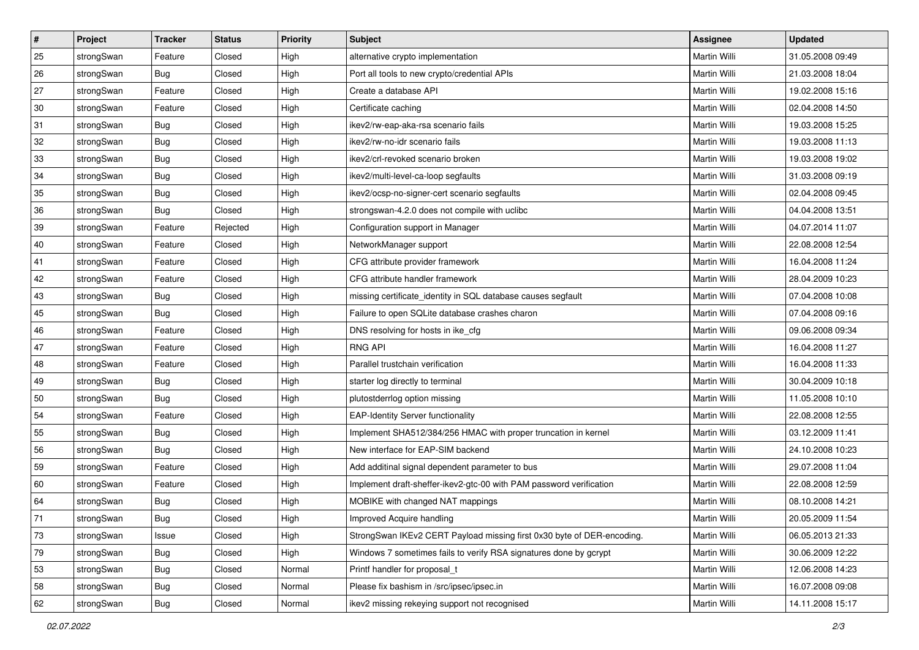| $\vert$ # | Project    | <b>Tracker</b> | <b>Status</b> | Priority | <b>Subject</b>                                                         | <b>Assignee</b> | <b>Updated</b>   |
|-----------|------------|----------------|---------------|----------|------------------------------------------------------------------------|-----------------|------------------|
| 25        | strongSwan | Feature        | Closed        | High     | alternative crypto implementation                                      | Martin Willi    | 31.05.2008 09:49 |
| 26        | strongSwan | Bug            | Closed        | High     | Port all tools to new crypto/credential APIs                           | Martin Willi    | 21.03.2008 18:04 |
| 27        | strongSwan | Feature        | Closed        | High     | Create a database API                                                  | Martin Willi    | 19.02.2008 15:16 |
| 30        | strongSwan | Feature        | Closed        | High     | Certificate caching                                                    | Martin Willi    | 02.04.2008 14:50 |
| 31        | strongSwan | Bug            | Closed        | High     | ikev2/rw-eap-aka-rsa scenario fails                                    | Martin Willi    | 19.03.2008 15:25 |
| 32        | strongSwan | <b>Bug</b>     | Closed        | High     | ikev2/rw-no-idr scenario fails                                         | Martin Willi    | 19.03.2008 11:13 |
| 33        | strongSwan | Bug            | Closed        | High     | ikev2/crl-revoked scenario broken                                      | Martin Willi    | 19.03.2008 19:02 |
| 34        | strongSwan | Bug            | Closed        | High     | ikev2/multi-level-ca-loop segfaults                                    | Martin Willi    | 31.03.2008 09:19 |
| 35        | strongSwan | <b>Bug</b>     | Closed        | High     | ikev2/ocsp-no-signer-cert scenario segfaults                           | Martin Willi    | 02.04.2008 09:45 |
| 36        | strongSwan | Bug            | Closed        | High     | strongswan-4.2.0 does not compile with uclibc                          | Martin Willi    | 04.04.2008 13:51 |
| 39        | strongSwan | Feature        | Rejected      | High     | Configuration support in Manager                                       | Martin Willi    | 04.07.2014 11:07 |
| 40        | strongSwan | Feature        | Closed        | High     | NetworkManager support                                                 | Martin Willi    | 22.08.2008 12:54 |
| 41        | strongSwan | Feature        | Closed        | High     | CFG attribute provider framework                                       | Martin Willi    | 16.04.2008 11:24 |
| 42        | strongSwan | Feature        | Closed        | High     | CFG attribute handler framework                                        | Martin Willi    | 28.04.2009 10:23 |
| 43        | strongSwan | Bug            | Closed        | High     | missing certificate_identity in SQL database causes segfault           | Martin Willi    | 07.04.2008 10:08 |
| 45        | strongSwan | <b>Bug</b>     | Closed        | High     | Failure to open SQLite database crashes charon                         | Martin Willi    | 07.04.2008 09:16 |
| 46        | strongSwan | Feature        | Closed        | High     | DNS resolving for hosts in ike_cfg                                     | Martin Willi    | 09.06.2008 09:34 |
| 47        | strongSwan | Feature        | Closed        | High     | <b>RNG API</b>                                                         | Martin Willi    | 16.04.2008 11:27 |
| 48        | strongSwan | Feature        | Closed        | High     | Parallel trustchain verification                                       | Martin Willi    | 16.04.2008 11:33 |
| 49        | strongSwan | Bug            | Closed        | High     | starter log directly to terminal                                       | Martin Willi    | 30.04.2009 10:18 |
| 50        | strongSwan | Bug            | Closed        | High     | plutostderrlog option missing                                          | Martin Willi    | 11.05.2008 10:10 |
| 54        | strongSwan | Feature        | Closed        | High     | <b>EAP-Identity Server functionality</b>                               | Martin Willi    | 22.08.2008 12:55 |
| 55        | strongSwan | Bug            | Closed        | High     | Implement SHA512/384/256 HMAC with proper truncation in kernel         | Martin Willi    | 03.12.2009 11:41 |
| 56        | strongSwan | <b>Bug</b>     | Closed        | High     | New interface for EAP-SIM backend                                      | Martin Willi    | 24.10.2008 10:23 |
| 59        | strongSwan | Feature        | Closed        | High     | Add additinal signal dependent parameter to bus                        | Martin Willi    | 29.07.2008 11:04 |
| 60        | strongSwan | Feature        | Closed        | High     | Implement draft-sheffer-ikev2-gtc-00 with PAM password verification    | Martin Willi    | 22.08.2008 12:59 |
| 64        | strongSwan | <b>Bug</b>     | Closed        | High     | MOBIKE with changed NAT mappings                                       | Martin Willi    | 08.10.2008 14:21 |
| 71        | strongSwan | Bug            | Closed        | High     | Improved Acquire handling                                              | Martin Willi    | 20.05.2009 11:54 |
| 73        | strongSwan | Issue          | Closed        | High     | StrongSwan IKEv2 CERT Payload missing first 0x30 byte of DER-encoding. | Martin Willi    | 06.05.2013 21:33 |
| 79        | strongSwan | Bug            | Closed        | High     | Windows 7 sometimes fails to verify RSA signatures done by gcrypt      | Martin Willi    | 30.06.2009 12:22 |
| 53        | strongSwan | Bug            | Closed        | Normal   | Printf handler for proposal t                                          | Martin Willi    | 12.06.2008 14:23 |
| 58        | strongSwan | Bug            | Closed        | Normal   | Please fix bashism in /src/ipsec/ipsec.in                              | Martin Willi    | 16.07.2008 09:08 |
| 62        | strongSwan | <b>Bug</b>     | Closed        | Normal   | ikev2 missing rekeying support not recognised                          | Martin Willi    | 14.11.2008 15:17 |